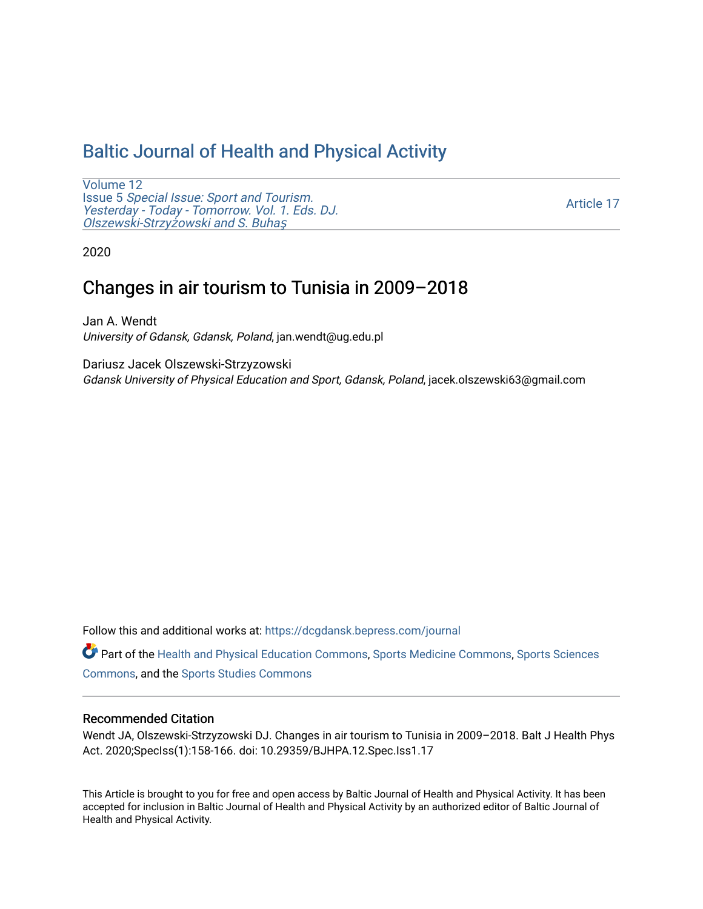## [Baltic Journal of Health and Physical Activity](https://dcgdansk.bepress.com/journal)

[Volume 12](https://dcgdansk.bepress.com/journal/vol12) Issue 5 [Special Issue: Sport and Tourism.](https://dcgdansk.bepress.com/journal/vol12/iss5)  [Yesterday - Today - Tomorrow. Vol. 1. Eds. DJ.](https://dcgdansk.bepress.com/journal/vol12/iss5)  [Olszewski-Strzy](https://dcgdansk.bepress.com/journal/vol12/iss5)żowski and S. Buhaş

[Article 17](https://dcgdansk.bepress.com/journal/vol12/iss5/17) 

2020

# Changes in air tourism to Tunisia in 2009–2018

Jan A. Wendt University of Gdansk, Gdansk, Poland, jan.wendt@ug.edu.pl

Dariusz Jacek Olszewski-Strzyzowski Gdansk University of Physical Education and Sport, Gdansk, Poland, jacek.olszewski63@gmail.com

Follow this and additional works at: [https://dcgdansk.bepress.com/journal](https://dcgdansk.bepress.com/journal?utm_source=dcgdansk.bepress.com%2Fjournal%2Fvol12%2Fiss5%2F17&utm_medium=PDF&utm_campaign=PDFCoverPages)

Part of the [Health and Physical Education Commons](http://network.bepress.com/hgg/discipline/1327?utm_source=dcgdansk.bepress.com%2Fjournal%2Fvol12%2Fiss5%2F17&utm_medium=PDF&utm_campaign=PDFCoverPages), [Sports Medicine Commons,](http://network.bepress.com/hgg/discipline/1331?utm_source=dcgdansk.bepress.com%2Fjournal%2Fvol12%2Fiss5%2F17&utm_medium=PDF&utm_campaign=PDFCoverPages) [Sports Sciences](http://network.bepress.com/hgg/discipline/759?utm_source=dcgdansk.bepress.com%2Fjournal%2Fvol12%2Fiss5%2F17&utm_medium=PDF&utm_campaign=PDFCoverPages) [Commons](http://network.bepress.com/hgg/discipline/759?utm_source=dcgdansk.bepress.com%2Fjournal%2Fvol12%2Fiss5%2F17&utm_medium=PDF&utm_campaign=PDFCoverPages), and the [Sports Studies Commons](http://network.bepress.com/hgg/discipline/1198?utm_source=dcgdansk.bepress.com%2Fjournal%2Fvol12%2Fiss5%2F17&utm_medium=PDF&utm_campaign=PDFCoverPages) 

#### Recommended Citation

Wendt JA, Olszewski-Strzyzowski DJ. Changes in air tourism to Tunisia in 2009–2018. Balt J Health Phys Act. 2020;SpecIss(1):158-166. doi: 10.29359/BJHPA.12.Spec.Iss1.17

This Article is brought to you for free and open access by Baltic Journal of Health and Physical Activity. It has been accepted for inclusion in Baltic Journal of Health and Physical Activity by an authorized editor of Baltic Journal of Health and Physical Activity.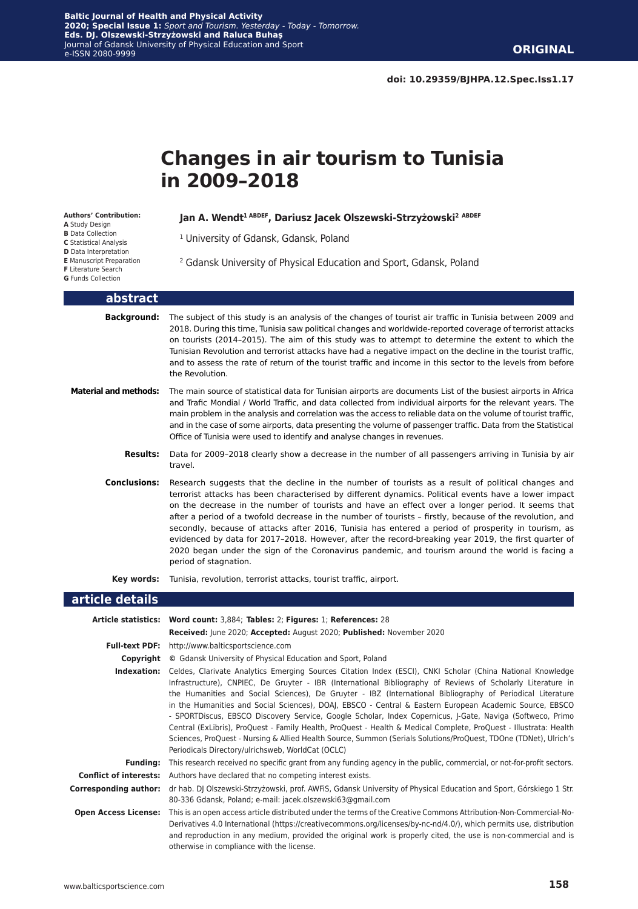# **Changes in air tourism to Tunisia in 2009–2018**

**Authors' Contribution:**

- **A** Study Design
- **B** Data Collection **C** Statistical Analysis
- **D** Data Interpretation
- **E** Manuscript Preparation
- **F** Literature Search
- **G** Funds Collection

#### **Jan A. Wendt1 ABDEF, Dariusz Jacek Olszewski-Strzyżowski<sup>2</sup> ABDEF**

- 1 University of Gdansk, Gdansk, Poland
- 2 Gdansk University of Physical Education and Sport, Gdansk, Poland

#### **abstract**

- **Background:** The subject of this study is an analysis of the changes of tourist air traffic in Tunisia between 2009 and 2018. During this time, Tunisia saw political changes and worldwide-reported coverage of terrorist attacks on tourists (2014–2015). The aim of this study was to attempt to determine the extent to which the Tunisian Revolution and terrorist attacks have had a negative impact on the decline in the tourist traffic, and to assess the rate of return of the tourist traffic and income in this sector to the levels from before the Revolution.
- **Material and methods:** The main source of statistical data for Tunisian airports are documents List of the busiest airports in Africa and Trafic Mondial / World Traffic, and data collected from individual airports for the relevant years. The main problem in the analysis and correlation was the access to reliable data on the volume of tourist traffic, and in the case of some airports, data presenting the volume of passenger traffic. Data from the Statistical Office of Tunisia were used to identify and analyse changes in revenues.
	- **Results:** Data for 2009–2018 clearly show a decrease in the number of all passengers arriving in Tunisia by air travel.
	- **Conclusions:** Research suggests that the decline in the number of tourists as a result of political changes and terrorist attacks has been characterised by different dynamics. Political events have a lower impact on the decrease in the number of tourists and have an effect over a longer period. It seems that after a period of a twofold decrease in the number of tourists – firstly, because of the revolution, and secondly, because of attacks after 2016, Tunisia has entered a period of prosperity in tourism, as evidenced by data for 2017–2018. However, after the record-breaking year 2019, the first quarter of 2020 began under the sign of the Coronavirus pandemic, and tourism around the world is facing a period of stagnation.
		- **Key words:** Tunisia, revolution, terrorist attacks, tourist traffic, airport.

#### **article details**

|                              | Article statistics: Word count: 3,884; Tables: 2; Figures: 1; References: 28                                                                                                                                                                                                                                                                                                                                                                                                                                                                                                                                                                                                                                                                                                                                                                                  |  |  |  |  |  |
|------------------------------|---------------------------------------------------------------------------------------------------------------------------------------------------------------------------------------------------------------------------------------------------------------------------------------------------------------------------------------------------------------------------------------------------------------------------------------------------------------------------------------------------------------------------------------------------------------------------------------------------------------------------------------------------------------------------------------------------------------------------------------------------------------------------------------------------------------------------------------------------------------|--|--|--|--|--|
|                              | Received: June 2020; Accepted: August 2020; Published: November 2020                                                                                                                                                                                                                                                                                                                                                                                                                                                                                                                                                                                                                                                                                                                                                                                          |  |  |  |  |  |
| <b>Full-text PDF:</b>        | http://www.balticsportscience.com                                                                                                                                                                                                                                                                                                                                                                                                                                                                                                                                                                                                                                                                                                                                                                                                                             |  |  |  |  |  |
|                              | <b>Copyright</b> © Gdansk University of Physical Education and Sport, Poland                                                                                                                                                                                                                                                                                                                                                                                                                                                                                                                                                                                                                                                                                                                                                                                  |  |  |  |  |  |
| Indexation:                  | Celdes, Clarivate Analytics Emerging Sources Citation Index (ESCI), CNKI Scholar (China National Knowledge<br>Infrastructure), CNPIEC, De Gruyter - IBR (International Bibliography of Reviews of Scholarly Literature in<br>the Humanities and Social Sciences), De Gruyter - IBZ (International Bibliography of Periodical Literature<br>in the Humanities and Social Sciences), DOAJ, EBSCO - Central & Eastern European Academic Source, EBSCO<br>- SPORTDiscus, EBSCO Discovery Service, Google Scholar, Index Copernicus, J-Gate, Naviga (Softweco, Primo<br>Central (ExLibris), ProQuest - Family Health, ProQuest - Health & Medical Complete, ProQuest - Illustrata: Health<br>Sciences, ProQuest - Nursing & Allied Health Source, Summon (Serials Solutions/ProQuest, TDOne (TDNet), Ulrich's<br>Periodicals Directory/ulrichsweb, WorldCat (OCLC) |  |  |  |  |  |
| <b>Funding:</b>              | This research received no specific grant from any funding agency in the public, commercial, or not-for-profit sectors.                                                                                                                                                                                                                                                                                                                                                                                                                                                                                                                                                                                                                                                                                                                                        |  |  |  |  |  |
|                              | <b>Conflict of interests:</b> Authors have declared that no competing interest exists.                                                                                                                                                                                                                                                                                                                                                                                                                                                                                                                                                                                                                                                                                                                                                                        |  |  |  |  |  |
| <b>Corresponding author:</b> | dr hab. DJ Olszewski-Strzyżowski, prof. AWFiS, Gdansk University of Physical Education and Sport, Górskiego 1 Str.<br>80-336 Gdansk, Poland; e-mail: jacek.olszewski63@gmail.com                                                                                                                                                                                                                                                                                                                                                                                                                                                                                                                                                                                                                                                                              |  |  |  |  |  |
| <b>Open Access License:</b>  | This is an open access article distributed under the terms of the Creative Commons Attribution-Non-Commercial-No-<br>Derivatives 4.0 International (https://creativecommons.org/licenses/by-nc-nd/4.0/), which permits use, distribution<br>and reproduction in any medium, provided the original work is properly cited, the use is non-commercial and is<br>otherwise in compliance with the license.                                                                                                                                                                                                                                                                                                                                                                                                                                                       |  |  |  |  |  |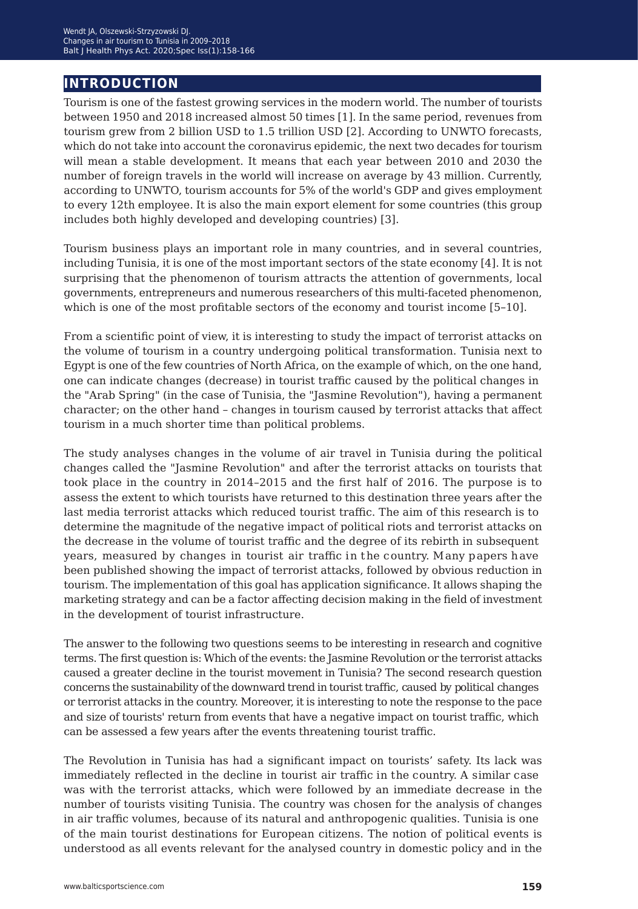## **introduction**

Tourism is one of the fastest growing services in the modern world. The number of tourists between 1950 and 2018 increased almost 50 times [1]. In the same period, revenues from tourism grew from 2 billion USD to 1.5 trillion USD [2]. According to UNWTO forecasts, which do not take into account the coronavirus epidemic, the next two decades for tourism will mean a stable development. It means that each year between 2010 and 2030 the number of foreign travels in the world will increase on average by 43 million. Currently, according to UNWTO, tourism accounts for 5% of the world's GDP and gives employment to every 12th employee. It is also the main export element for some countries (this group includes both highly developed and developing countries) [3].

Tourism business plays an important role in many countries, and in several countries, including Tunisia, it is one of the most important sectors of the state economy [4]. It is not surprising that the phenomenon of tourism attracts the attention of governments, local governments, entrepreneurs and numerous researchers of this multi-faceted phenomenon, which is one of the most profitable sectors of the economy and tourist income [5*−*10].

From a scientific point of view, it is interesting to study the impact of terrorist attacks on the volume of tourism in a country undergoing political transformation. Tunisia next to Egypt is one of the few countries of North Africa, on the example of which, on the one hand, one can indicate changes (decrease) in tourist traffic caused by the political changes in the "Arab Spring" (in the case of Tunisia, the "Jasmine Revolution"), having a permanent character; on the other hand – changes in tourism caused by terrorist attacks that affect tourism in a much shorter time than political problems.

The study analyses changes in the volume of air travel in Tunisia during the political changes called the "Jasmine Revolution" and after the terrorist attacks on tourists that took place in the country in 2014–2015 and the first half of 2016. The purpose is to assess the extent to which tourists have returned to this destination three years after the last media terrorist attacks which reduced tourist traffic. The aim of this research is to determine the magnitude of the negative impact of political riots and terrorist attacks on the decrease in the volume of tourist traffic and the degree of its rebirth in subsequent years, measured by changes in tourist air traffic in the country. Many papers have been published showing the impact of terrorist attacks, followed by obvious reduction in tourism. The implementation of this goal has application significance. It allows shaping the marketing strategy and can be a factor affecting decision making in the field of investment in the development of tourist infrastructure.

The answer to the following two questions seems to be interesting in research and cognitive terms. The first question is: Which of the events: the Jasmine Revolution or the terrorist attacks caused a greater decline in the tourist movement in Tunisia? The second research question concerns the sustainability of the downward trend in tourist traffic, caused by political changes or terrorist attacks in the country. Moreover, it is interesting to note the response to the pace and size of tourists' return from events that have a negative impact on tourist traffic, which can be assessed a few years after the events threatening tourist traffic.

The Revolution in Tunisia has had a significant impact on tourists' safety. Its lack was immediately reflected in the decline in tourist air traffic in the country. A similar case was with the terrorist attacks, which were followed by an immediate decrease in the number of tourists visiting Tunisia. The country was chosen for the analysis of changes in air traffic volumes, because of its natural and anthropogenic qualities. Tunisia is one of the main tourist destinations for European citizens. The notion of political events is understood as all events relevant for the analysed country in domestic policy and in the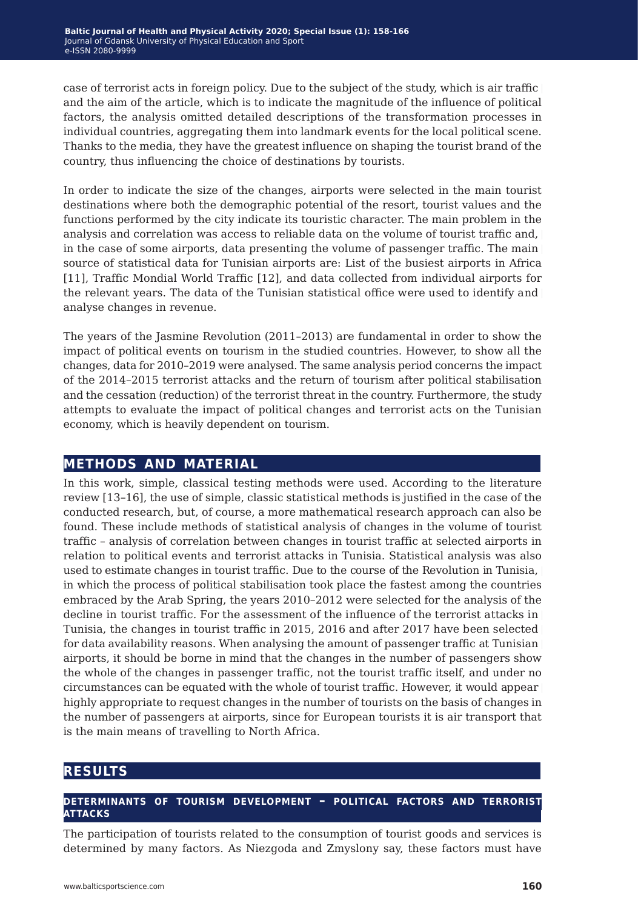case of terrorist acts in foreign policy. Due to the subject of the study, which is air traffic and the aim of the article, which is to indicate the magnitude of the influence of political factors, the analysis omitted detailed descriptions of the transformation processes in individual countries, aggregating them into landmark events for the local political scene. Thanks to the media, they have the greatest influence on shaping the tourist brand of the country, thus influencing the choice of destinations by tourists.

In order to indicate the size of the changes, airports were selected in the main tourist destinations where both the demographic potential of the resort, tourist values and the functions performed by the city indicate its touristic character. The main problem in the analysis and correlation was access to reliable data on the volume of tourist traffic and, in the case of some airports, data presenting the volume of passenger traffic. The main source of statistical data for Tunisian airports are: List of the busiest airports in Africa [11], Traffic Mondial World Traffic [12], and data collected from individual airports for the relevant years. The data of the Tunisian statistical office were used to identify and analyse changes in revenue.

The years of the Jasmine Revolution (2011–2013) are fundamental in order to show the impact of political events on tourism in the studied countries. However, to show all the changes, data for 2010–2019 were analysed. The same analysis period concerns the impact of the 2014–2015 terrorist attacks and the return of tourism after political stabilisation and the cessation (reduction) of the terrorist threat in the country. Furthermore, the study attempts to evaluate the impact of political changes and terrorist acts on the Tunisian economy, which is heavily dependent on tourism.

## **methods and material**

In this work, simple, classical testing methods were used. According to the literature review [13*−*16], the use of simple, classic statistical methods is justified in the case of the conducted research, but, of course, a more mathematical research approach can also be found. These include methods of statistical analysis of changes in the volume of tourist traffic – analysis of correlation between changes in tourist traffic at selected airports in relation to political events and terrorist attacks in Tunisia. Statistical analysis was also used to estimate changes in tourist traffic. Due to the course of the Revolution in Tunisia, in which the process of political stabilisation took place the fastest among the countries embraced by the Arab Spring, the years 2010–2012 were selected for the analysis of the decline in tourist traffic. For the assessment of the influence of the terrorist attacks in Tunisia, the changes in tourist traffic in 2015, 2016 and after 2017 have been selected for data availability reasons. When analysing the amount of passenger traffic at Tunisian airports, it should be borne in mind that the changes in the number of passengers show the whole of the changes in passenger traffic, not the tourist traffic itself, and under no circumstances can be equated with the whole of tourist traffic. However, it would appear highly appropriate to request changes in the number of tourists on the basis of changes in the number of passengers at airports, since for European tourists it is air transport that is the main means of travelling to North Africa.

## **results**

#### **determinants of tourism development – political factors and terrorist attacks**

The participation of tourists related to the consumption of tourist goods and services is determined by many factors. As Niezgoda and Zmyslony say, these factors must have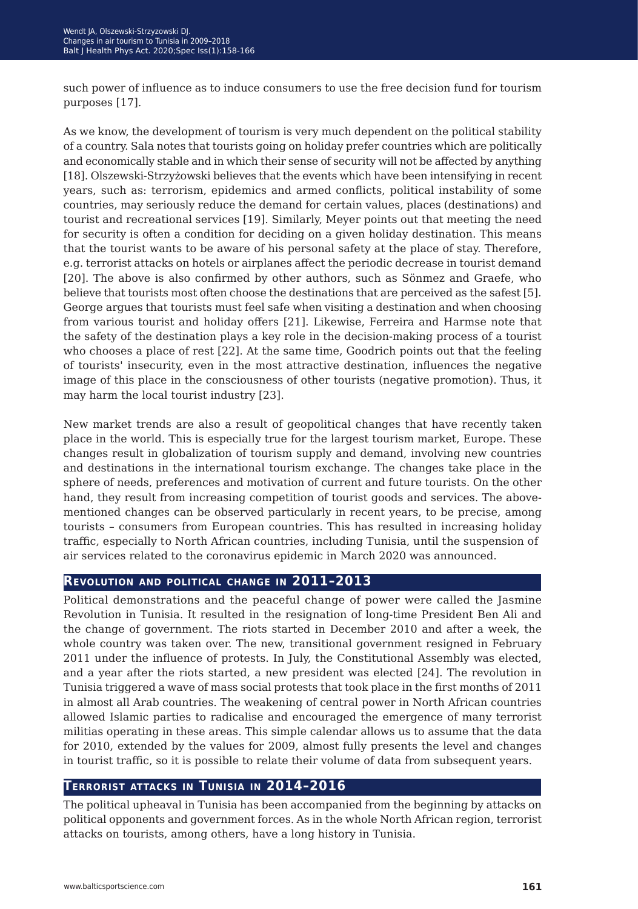such power of influence as to induce consumers to use the free decision fund for tourism purposes [17].

As we know, the development of tourism is very much dependent on the political stability of a country. Sala notes that tourists going on holiday prefer countries which are politically and economically stable and in which their sense of security will not be affected by anything [18]. Olszewski-Strzyżowski believes that the events which have been intensifying in recent years, such as: terrorism, epidemics and armed conflicts, political instability of some countries, may seriously reduce the demand for certain values, places (destinations) and tourist and recreational services [19]. Similarly, Meyer points out that meeting the need for security is often a condition for deciding on a given holiday destination. This means that the tourist wants to be aware of his personal safety at the place of stay. Therefore, e.g. terrorist attacks on hotels or airplanes affect the periodic decrease in tourist demand [20]. The above is also confirmed by other authors, such as Sönmez and Graefe, who believe that tourists most often choose the destinations that are perceived as the safest [5]. George argues that tourists must feel safe when visiting a destination and when choosing from various tourist and holiday offers [21]. Likewise, Ferreira and Harmse note that the safety of the destination plays a key role in the decision-making process of a tourist who chooses a place of rest [22]. At the same time, Goodrich points out that the feeling of tourists' insecurity, even in the most attractive destination, influences the negative image of this place in the consciousness of other tourists (negative promotion). Thus, it may harm the local tourist industry [23].

New market trends are also a result of geopolitical changes that have recently taken place in the world. This is especially true for the largest tourism market, Europe. These changes result in globalization of tourism supply and demand, involving new countries and destinations in the international tourism exchange. The changes take place in the sphere of needs, preferences and motivation of current and future tourists. On the other hand, they result from increasing competition of tourist goods and services. The abovementioned changes can be observed particularly in recent years, to be precise, among tourists – consumers from European countries. This has resulted in increasing holiday traffic, especially to North African countries, including Tunisia, until the suspension of air services related to the coronavirus epidemic in March 2020 was announced.

### **Revolution and political change in 2011–2013**

Political demonstrations and the peaceful change of power were called the Jasmine Revolution in Tunisia. It resulted in the resignation of long-time President Ben Ali and the change of government. The riots started in December 2010 and after a week, the whole country was taken over. The new, transitional government resigned in February 2011 under the influence of protests. In July, the Constitutional Assembly was elected, and a year after the riots started, a new president was elected [24]. The revolution in Tunisia triggered a wave of mass social protests that took place in the first months of 2011 in almost all Arab countries. The weakening of central power in North African countries allowed Islamic parties to radicalise and encouraged the emergence of many terrorist militias operating in these areas. This simple calendar allows us to assume that the data for 2010, extended by the values for 2009, almost fully presents the level and changes in tourist traffic, so it is possible to relate their volume of data from subsequent years.

## **Terrorist attacks in Tunisia in 2014–2016**

The political upheaval in Tunisia has been accompanied from the beginning by attacks on political opponents and government forces. As in the whole North African region, terrorist attacks on tourists, among others, have a long history in Tunisia.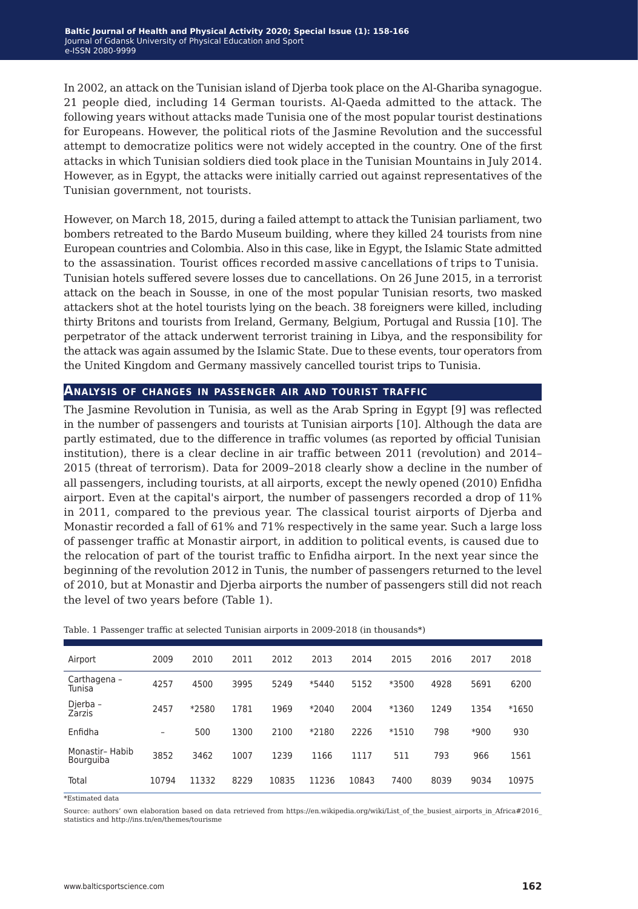In 2002, an attack on the Tunisian island of Djerba took place on the Al-Ghariba synagogue. 21 people died, including 14 German tourists. Al-Qaeda admitted to the attack. The following years without attacks made Tunisia one of the most popular tourist destinations for Europeans. However, the political riots of the Jasmine Revolution and the successful attempt to democratize politics were not widely accepted in the country. One of the first attacks in which Tunisian soldiers died took place in the Tunisian Mountains in July 2014. However, as in Egypt, the attacks were initially carried out against representatives of the Tunisian government, not tourists.

However, on March 18, 2015, during a failed attempt to attack the Tunisian parliament, two bombers retreated to the Bardo Museum building, where they killed 24 tourists from nine European countries and Colombia. Also in this case, like in Egypt, the Islamic State admitted to the assassination. Tourist offices recorded massive cancellations of trips to Tunisia. Tunisian hotels suffered severe losses due to cancellations. On 26 June 2015, in a terrorist attack on the beach in Sousse, in one of the most popular Tunisian resorts, two masked attackers shot at the hotel tourists lying on the beach. 38 foreigners were killed, including thirty Britons and tourists from Ireland, Germany, Belgium, Portugal and Russia [10]. The perpetrator of the attack underwent terrorist training in Libya, and the responsibility for the attack was again assumed by the Islamic State. Due to these events, tour operators from the United Kingdom and Germany massively cancelled tourist trips to Tunisia.

#### **Analysis of changes in passenger air and tourist traffic**

The Jasmine Revolution in Tunisia, as well as the Arab Spring in Egypt [9] was reflected in the number of passengers and tourists at Tunisian airports [10]. Although the data are partly estimated, due to the difference in traffic volumes (as reported by official Tunisian institution), there is a clear decline in air traffic between 2011 (revolution) and 2014– 2015 (threat of terrorism). Data for 2009–2018 clearly show a decline in the number of all passengers, including tourists, at all airports, except the newly opened (2010) Enfidha airport. Even at the capital's airport, the number of passengers recorded a drop of 11% in 2011, compared to the previous year. The classical tourist airports of Djerba and Monastir recorded a fall of 61% and 71% respectively in the same year. Such a large loss of passenger traffic at Monastir airport, in addition to political events, is caused due to the relocation of part of the tourist traffic to Enfidha airport. In the next year since the beginning of the revolution 2012 in Tunis, the number of passengers returned to the level of 2010, but at Monastir and Djerba airports the number of passengers still did not reach the level of two years before (Table 1).

| Airport                      | 2009  | 2010  | 2011 | 2012  | 2013  | 2014  | 2015    | 2016 | 2017 | 2018    |
|------------------------------|-------|-------|------|-------|-------|-------|---------|------|------|---------|
| Carthagena -<br>Tunisa       | 4257  | 4500  | 3995 | 5249  | *5440 | 5152  | *3500   | 4928 | 5691 | 6200    |
| Djerba -<br>Zarzis           | 2457  | *2580 | 1781 | 1969  | *2040 | 2004  | *1360   | 1249 | 1354 | $*1650$ |
| Enfidha                      | -     | 500   | 1300 | 2100  | *2180 | 2226  | $*1510$ | 798  | *900 | 930     |
| Monastir- Habib<br>Bourguiba | 3852  | 3462  | 1007 | 1239  | 1166  | 1117  | 511     | 793  | 966  | 1561    |
| Total                        | 10794 | 11332 | 8229 | 10835 | 11236 | 10843 | 7400    | 8039 | 9034 | 10975   |

Table. 1 Passenger traffic at selected Tunisian airports in 2009-2018 (in thousands\*)

\*Estimated data

Source: authors' own elaboration based on data retrieved from https://en.wikipedia.org/wiki/List\_of\_the\_busiest\_airports\_in\_Africa#2016\_ statistics and http://ins.tn/en/themes/tourisme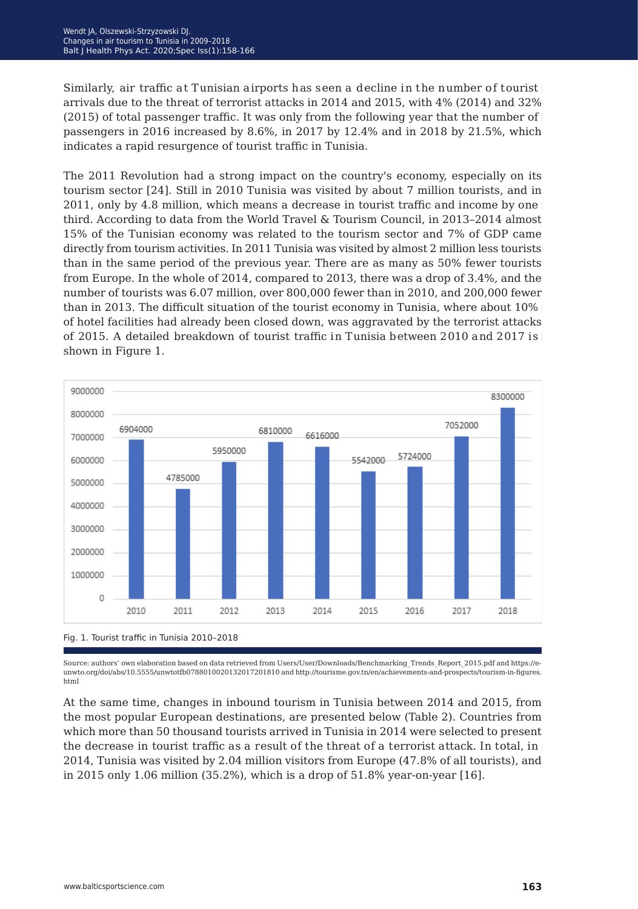Similarly, air traffic at Tunisian airports has seen a decline in the number of tourist arrivals due to the threat of terrorist attacks in 2014 and 2015, with 4% (2014) and 32% (2015) of total passenger traffic. It was only from the following year that the number of passengers in 2016 increased by 8.6%, in 2017 by 12.4% and in 2018 by 21.5%, which indicates a rapid resurgence of tourist traffic in Tunisia.

The 2011 Revolution had a strong impact on the country's economy, especially on its tourism sector [24]. Still in 2010 Tunisia was visited by about 7 million tourists, and in 2011, only by 4.8 million, which means a decrease in tourist traffic and income by one third. According to data from the World Travel & Tourism Council, in 2013–2014 almost 15% of the Tunisian economy was related to the tourism sector and 7% of GDP came directly from tourism activities. In 2011 Tunisia was visited by almost 2 million less tourists than in the same period of the previous year. There are as many as 50% fewer tourists from Europe. In the whole of 2014, compared to 2013, there was a drop of 3.4%, and the number of tourists was 6.07 million, over 800,000 fewer than in 2010, and 200,000 fewer than in 2013. The difficult situation of the tourist economy in Tunisia, where about 10% of hotel facilities had already been closed down, was aggravated by the terrorist attacks of 2015. A detailed breakdown of tourist traffic in Tunisia between 2010 and 2017 is shown in Figure 1.



Source: authors' own elaboration based on data retrieved from Users/User/Downloads/Benchmarking\_Trends\_Report\_2015.pdf and https://eunwto.org/doi/abs/10.5555/unwtotfb0788010020132017201810 and http://tourisme.gov.tn/en/achievements-and-prospects/tourism-in-figures. html

At the same time, changes in inbound tourism in Tunisia between 2014 and 2015, from the most popular European destinations, are presented below (Table 2). Countries from which more than 50 thousand tourists arrived in Tunisia in 2014 were selected to present the decrease in tourist traffic as a result of the threat of a terrorist attack. In total, in 2014, Tunisia was visited by 2.04 million visitors from Europe (47.8% of all tourists), and in 2015 only 1.06 million (35.2%), which is a drop of 51.8% year-on-year [16].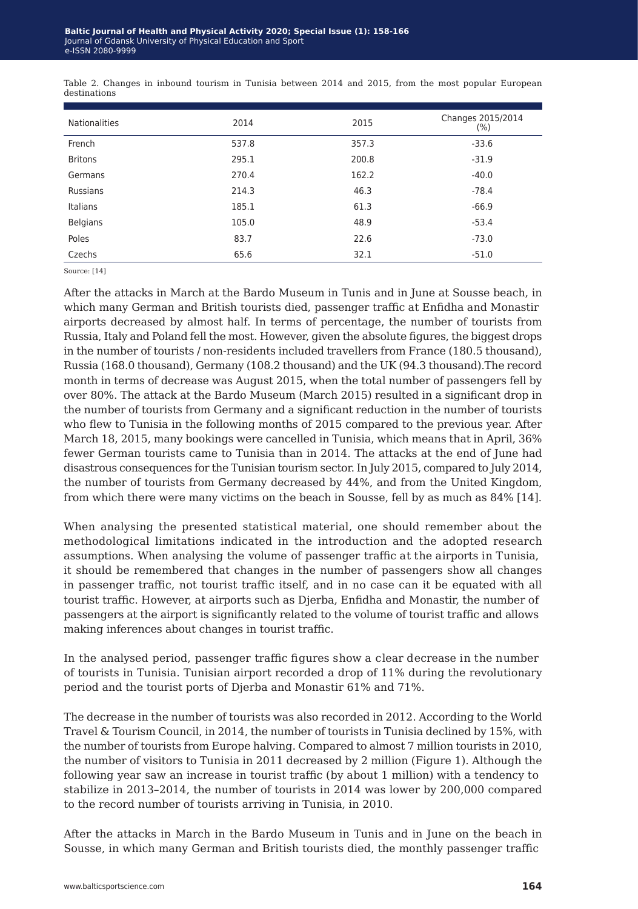| <b>Nationalities</b> | 2014  | 2015  | Changes 2015/2014<br>$(\% )$ |
|----------------------|-------|-------|------------------------------|
| French               | 537.8 | 357.3 | $-33.6$                      |
| <b>Britons</b>       | 295.1 | 200.8 | $-31.9$                      |
| Germans              | 270.4 | 162.2 | $-40.0$                      |
| <b>Russians</b>      | 214.3 | 46.3  | $-78.4$                      |
| Italians             | 185.1 | 61.3  | $-66.9$                      |
| <b>Belgians</b>      | 105.0 | 48.9  | $-53.4$                      |
| Poles                | 83.7  | 22.6  | $-73.0$                      |
| Czechs               | 65.6  | 32.1  | $-51.0$                      |

Table 2. Changes in inbound tourism in Tunisia between 2014 and 2015, from the most popular European destinations

Source: [14]

After the attacks in March at the Bardo Museum in Tunis and in June at Sousse beach, in which many German and British tourists died, passenger traffic at Enfidha and Monastir airports decreased by almost half. In terms of percentage, the number of tourists from Russia, Italy and Poland fell the most. However, given the absolute figures, the biggest drops in the number of tourists / non-residents included travellers from France (180.5 thousand), Russia (168.0 thousand), Germany (108.2 thousand) and the UK (94.3 thousand).The record month in terms of decrease was August 2015, when the total number of passengers fell by over 80%. The attack at the Bardo Museum (March 2015) resulted in a significant drop in the number of tourists from Germany and a significant reduction in the number of tourists who flew to Tunisia in the following months of 2015 compared to the previous year. After March 18, 2015, many bookings were cancelled in Tunisia, which means that in April, 36% fewer German tourists came to Tunisia than in 2014. The attacks at the end of June had disastrous consequences for the Tunisian tourism sector. In July 2015, compared to July 2014, the number of tourists from Germany decreased by 44%, and from the United Kingdom, from which there were many victims on the beach in Sousse, fell by as much as 84% [14].

When analysing the presented statistical material, one should remember about the methodological limitations indicated in the introduction and the adopted research assumptions. When analysing the volume of passenger traffic at the airports in Tunisia, it should be remembered that changes in the number of passengers show all changes in passenger traffic, not tourist traffic itself, and in no case can it be equated with all tourist traffic. However, at airports such as Djerba, Enfidha and Monastir, the number of passengers at the airport is significantly related to the volume of tourist traffic and allows making inferences about changes in tourist traffic.

In the analysed period, passenger traffic figures show a clear decrease in the number of tourists in Tunisia. Tunisian airport recorded a drop of 11% during the revolutionary period and the tourist ports of Djerba and Monastir 61% and 71%.

The decrease in the number of tourists was also recorded in 2012. According to the World Travel & Tourism Council, in 2014, the number of tourists in Tunisia declined by 15%, with the number of tourists from Europe halving. Compared to almost 7 million tourists in 2010, the number of visitors to Tunisia in 2011 decreased by 2 million (Figure 1). Although the following year saw an increase in tourist traffic (by about 1 million) with a tendency to stabilize in 2013–2014, the number of tourists in 2014 was lower by 200,000 compared to the record number of tourists arriving in Tunisia, in 2010.

After the attacks in March in the Bardo Museum in Tunis and in June on the beach in Sousse, in which many German and British tourists died, the monthly passenger traffic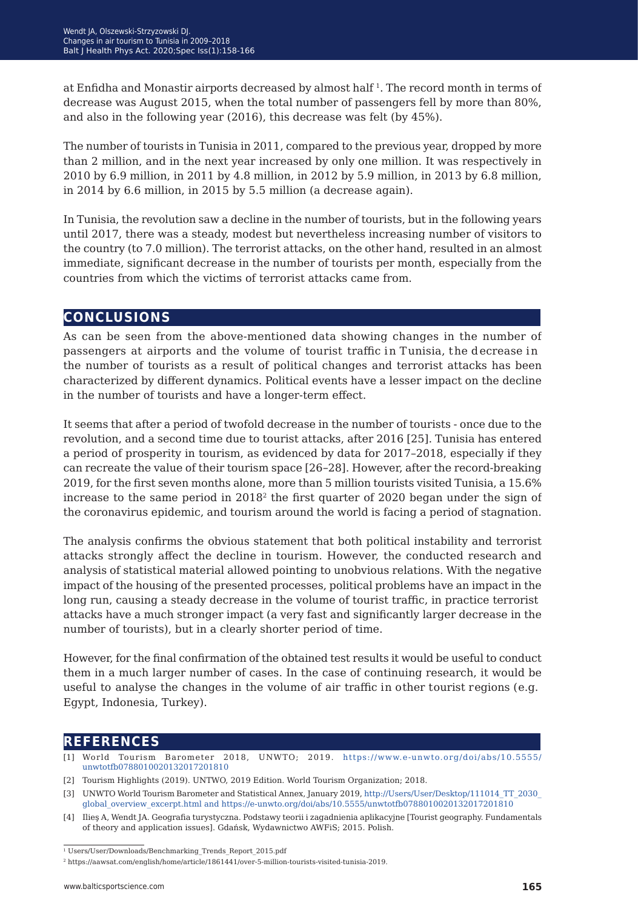at Enfidha and Monastir airports decreased by almost half 1. The record month in terms of decrease was August 2015, when the total number of passengers fell by more than 80%, and also in the following year (2016), this decrease was felt (by 45%).

The number of tourists in Tunisia in 2011, compared to the previous year, dropped by more than 2 million, and in the next year increased by only one million. It was respectively in 2010 by 6.9 million, in 2011 by 4.8 million, in 2012 by 5.9 million, in 2013 by 6.8 million, in 2014 by 6.6 million, in 2015 by 5.5 million (a decrease again).

In Tunisia, the revolution saw a decline in the number of tourists, but in the following years until 2017, there was a steady, modest but nevertheless increasing number of visitors to the country (to 7.0 million). The terrorist attacks, on the other hand, resulted in an almost immediate, significant decrease in the number of tourists per month, especially from the countries from which the victims of terrorist attacks came from.

## **conclusions**

As can be seen from the above-mentioned data showing changes in the number of passengers at airports and the volume of tourist traffic in Tunisia, the decrease in the number of tourists as a result of political changes and terrorist attacks has been characterized by different dynamics. Political events have a lesser impact on the decline in the number of tourists and have a longer-term effect.

It seems that after a period of twofold decrease in the number of tourists - once due to the revolution, and a second time due to tourist attacks, after 2016 [25]. Tunisia has entered a period of prosperity in tourism, as evidenced by data for 2017–2018, especially if they can recreate the value of their tourism space [26*−*28]. However, after the record-breaking 2019, for the first seven months alone, more than 5 million tourists visited Tunisia, a 15.6% increase to the same period in  $2018<sup>2</sup>$  the first quarter of 2020 began under the sign of the coronavirus epidemic, and tourism around the world is facing a period of stagnation.

The analysis confirms the obvious statement that both political instability and terrorist attacks strongly affect the decline in tourism. However, the conducted research and analysis of statistical material allowed pointing to unobvious relations. With the negative impact of the housing of the presented processes, political problems have an impact in the long run, causing a steady decrease in the volume of tourist traffic, in practice terrorist attacks have a much stronger impact (a very fast and significantly larger decrease in the number of tourists), but in a clearly shorter period of time.

However, for the final confirmation of the obtained test results it would be useful to conduct them in a much larger number of cases. In the case of continuing research, it would be useful to analyse the changes in the volume of air traffic in other tourist regions (e.g. Egypt, Indonesia, Turkey).

## **references**

- $[1]$  World Tourism Barometer 2018, UNWTO; 2019. https://www.e-unwto.org/doi/abs/10.5555/ [unwtotfb0788010020132017201810](https://www.e-unwto.org/doi/abs/10.5555/unwtotfb0788010020132017201810)
- [2] Tourism Highlights (2019). UNTWO, 2019 Edition. World Tourism Organization; 2018.
- [3] UNWTO World Tourism Barometer and Statistical Annex, January 2019, [http://Users/User/Desktop/111014\\_TT\\_2030\\_](http://Users/User/Desktop/111014_TT_2030_global_overview_excerpt.html and https://e-unwto.org/doi/ab) [global\\_overview\\_excerpt.html and https://e-unwto.org/doi/abs/10.5555/unwtotfb0788010020132017201810](http://Users/User/Desktop/111014_TT_2030_global_overview_excerpt.html and https://e-unwto.org/doi/ab)
- [4] Ilieş A, Wendt JA. Geografia turystyczna. Podstawy teorii i zagadnienia aplikacyjne [Tourist geography. Fundamentals of theory and application issues]. Gdańsk, Wydawnictwo AWFiS; 2015. Polish.

<sup>&</sup>lt;sup>1</sup> Users/User/Downloads/Benchmarking Trends Report 2015.pdf

<sup>2</sup> https://aawsat.com/english/home/article/1861441/over-5-million-tourists-visited-tunisia-2019.